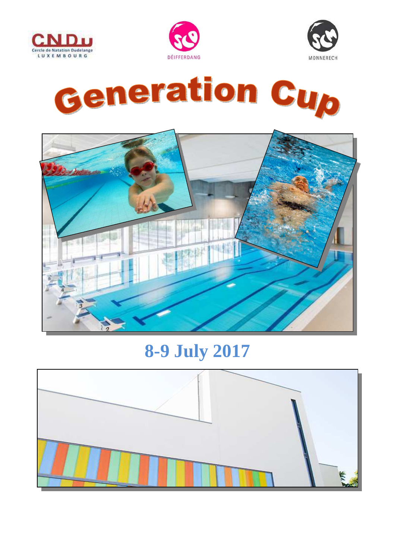









# **8-9 July 2017**

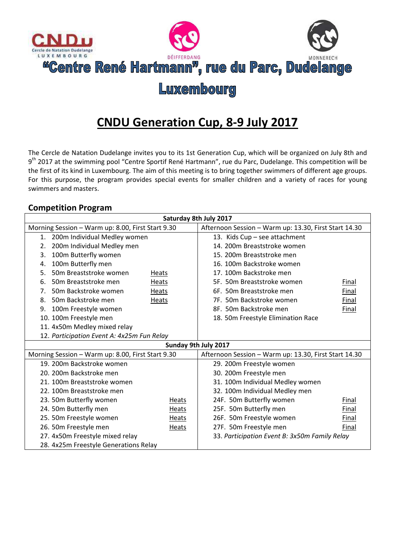

# **CNDU Generation Cup, 8-9 July 2017**

The Cercle de Natation Dudelange invites you to its 1st Generation Cup, which will be organized on July 8th and 9<sup>th</sup> 2017 at the swimming pool "Centre Sportif René Hartmann", rue du Parc, Dudelange. This competition will be the first of its kind in Luxembourg. The aim of this meeting is to bring together swimmers of different age groups. For this purpose, the program provides special events for smaller children and a variety of races for young swimmers and masters.

#### **Competition Program**

| Saturday 8th July 2017                            |                                            |              |                                                       |       |  |  |  |  |
|---------------------------------------------------|--------------------------------------------|--------------|-------------------------------------------------------|-------|--|--|--|--|
| Morning Session - Warm up: 8.00, First Start 9.30 |                                            |              | Afternoon Session - Warm up: 13.30, First Start 14.30 |       |  |  |  |  |
|                                                   | 1. 200m Individual Medley women            |              | 13. Kids Cup - see attachment                         |       |  |  |  |  |
| 2.                                                | 200m Individual Medley men                 |              | 14. 200m Breaststroke women                           |       |  |  |  |  |
| 3.                                                | 100m Butterfly women                       |              | 15. 200m Breaststroke men                             |       |  |  |  |  |
| 4.                                                | 100m Butterfly men                         |              | 16. 100m Backstroke women                             |       |  |  |  |  |
| 5.                                                | 50m Breaststroke women                     | Heats        | 17. 100m Backstroke men                               |       |  |  |  |  |
| 6.                                                | 50m Breaststroke men                       | Heats        | 5F. 50m Breaststroke women                            | Final |  |  |  |  |
| 7.                                                | 50m Backstroke women                       | Heats        | 6F. 50m Breaststroke men                              | Final |  |  |  |  |
| 8.                                                | 50m Backstroke men                         | <b>Heats</b> | 7F. 50m Backstroke women                              | Final |  |  |  |  |
| 9.                                                | 100m Freestyle women                       |              | 8F. 50m Backstroke men                                | Final |  |  |  |  |
|                                                   | 10. 100m Freestyle men                     |              | 18. 50m Freestyle Elimination Race                    |       |  |  |  |  |
|                                                   | 11. 4x50m Medley mixed relay               |              |                                                       |       |  |  |  |  |
|                                                   | 12. Participation Event A: 4x25m Fun Relay |              |                                                       |       |  |  |  |  |
| Sunday 9th July 2017                              |                                            |              |                                                       |       |  |  |  |  |
| Morning Session - Warm up: 8.00, First Start 9.30 |                                            |              | Afternoon Session - Warm up: 13.30, First Start 14.30 |       |  |  |  |  |
|                                                   | 19. 200m Backstroke women                  |              | 29. 200m Freestyle women                              |       |  |  |  |  |
|                                                   | 20. 200m Backstroke men                    |              | 30. 200m Freestyle men                                |       |  |  |  |  |
|                                                   | 21. 100m Breaststroke women                |              | 31. 100m Individual Medley women                      |       |  |  |  |  |
| 22. 100m Breaststroke men                         |                                            |              | 32. 100m Individual Medley men                        |       |  |  |  |  |
|                                                   | 23. 50m Butterfly women                    | Heats        | 24F. 50m Butterfly women<br>Final                     |       |  |  |  |  |
|                                                   | 24. 50m Butterfly men                      | Heats        | 25F. 50m Butterfly men<br>Final                       |       |  |  |  |  |
|                                                   | 25. 50m Freestyle women                    | Heats        | 26F. 50m Freestyle women<br>Final                     |       |  |  |  |  |
|                                                   | 26. 50m Freestyle men                      | Heats        | 27F. 50m Freestyle men                                | Final |  |  |  |  |
| 27. 4x50m Freestyle mixed relay                   |                                            |              | 33. Participation Event B: 3x50m Family Relay         |       |  |  |  |  |
|                                                   | 28. 4x25m Freestyle Generations Relay      |              |                                                       |       |  |  |  |  |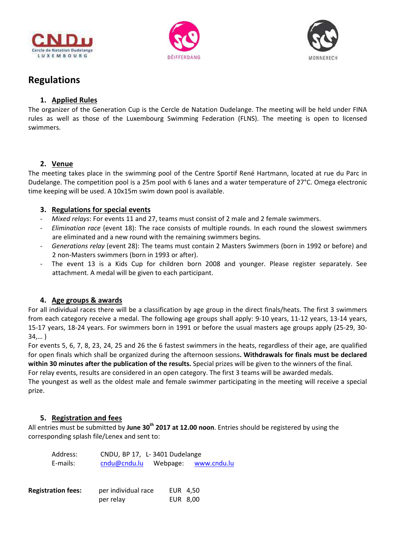





## **Regulations**

#### **1. Applied Rules**

The organizer of the Generation Cup is the Cercle de Natation Dudelange. The meeting will be held under FINA rules as well as those of the Luxembourg Swimming Federation (FLNS). The meeting is open to licensed swimmers.

#### **2. Venue**

The meeting takes place in the swimming pool of the Centre Sportif René Hartmann, located at rue du Parc in Dudelange. The competition pool is a 25m pool with 6 lanes and a water temperature of 27°C. Omega electronic time keeping will be used. A 10x15m swim down pool is available.

#### **3. Regulations for special events**

- *Mixed relays*: For events 11 and 27, teams must consist of 2 male and 2 female swimmers.
- *Elimination race* (event 18): The race consists of multiple rounds. In each round the slowest swimmers are eliminated and a new round with the remaining swimmers begins.
- *Generations relay* (event 28): The teams must contain 2 Masters Swimmers (born in 1992 or before) and 2 non-Masters swimmers (born in 1993 or after).
- The event 13 is a Kids Cup for children born 2008 and younger. Please register separately. See attachment. A medal will be given to each participant.

#### **4. Age groups & awards**

For all individual races there will be a classification by age group in the direct finals/heats. The first 3 swimmers from each category receive a medal. The following age groups shall apply: 9-10 years, 11-12 years, 13-14 years, 15-17 years, 18-24 years. For swimmers born in 1991 or before the usual masters age groups apply (25-29, 30- 34,… )

For events 5, 6, 7, 8, 23, 24, 25 and 26 the 6 fastest swimmers in the heats, regardless of their age, are qualified for open finals which shall be organized during the afternoon sessions**. Withdrawals for finals must be declared within 30 minutes after the publication of the results.** Special prizes will be given to the winners of the final.

For relay events, results are considered in an open category. The first 3 teams will be awarded medals.

The youngest as well as the oldest male and female swimmer participating in the meeting will receive a special prize.

#### **5. Registration and fees**

All entries must be submitted by **June 30th 2017 at 12.00 noon**. Entries should be registered by using the corresponding splash file/Lenex and sent to:

|                           | Address: | CNDU, BP 17, L-3401 Dudelange |          |                      |  |  |
|---------------------------|----------|-------------------------------|----------|----------------------|--|--|
|                           | E-mails: | cndu@cndu.lu                  |          | Webpage: www.cndu.lu |  |  |
|                           |          |                               |          |                      |  |  |
| <b>Registration fees:</b> |          | per individual race           | EUR 4,50 |                      |  |  |
|                           |          | per relay                     | EUR 8,00 |                      |  |  |